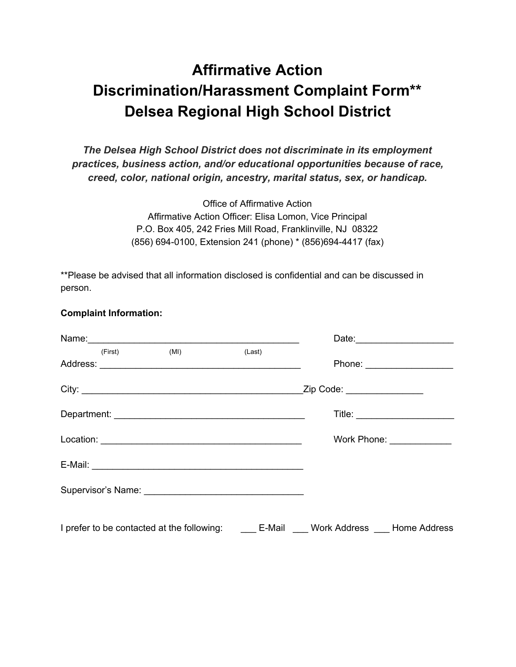# **Affirmative Action Discrimination/Harassment Complaint Form\*\* Delsea Regional High School District**

*The Delsea High School District does not discriminate in its employment practices, business action, and/or educational opportunities because of race, creed, color, national origin, ancestry, marital status, sex, or handicap.*

> Office of Affirmative Action Affirmative Action Officer: Elisa Lomon, Vice Principal P.O. Box 405, 242 Fries Mill Road, Franklinville, NJ 08322 (856) 694-0100, Extension 241 (phone) \* (856)694-4417 (fax)

\*\*Please be advised that all information disclosed is confidential and can be discussed in person.

#### **Complaint Information:**

| (First) | (MI)                                                                        | (Last) |                             | Phone: _____________________     |
|---------|-----------------------------------------------------------------------------|--------|-----------------------------|----------------------------------|
|         | City:                                                                       |        | Zip Code: _________________ |                                  |
|         |                                                                             |        |                             | Title: _________________________ |
|         |                                                                             |        |                             | Work Phone: ______________       |
|         |                                                                             |        |                             |                                  |
|         |                                                                             |        |                             |                                  |
|         | I prefer to be contacted at the following: E-Mail Work Address Home Address |        |                             |                                  |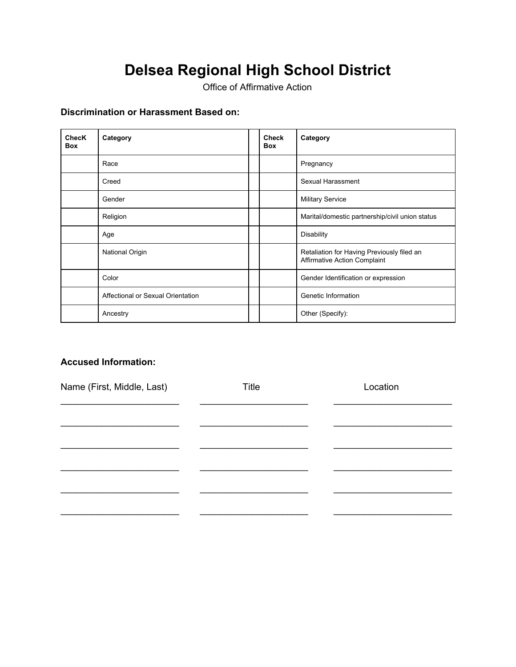Office of Affirmative Action

### **Discrimination or Harassment Based on:**

| <b>ChecK</b><br><b>Box</b> | Category                          | <b>Check</b><br><b>Box</b> | Category                                                                          |
|----------------------------|-----------------------------------|----------------------------|-----------------------------------------------------------------------------------|
|                            | Race                              |                            | Pregnancy                                                                         |
|                            | Creed                             |                            | Sexual Harassment                                                                 |
|                            | Gender                            |                            | <b>Military Service</b>                                                           |
|                            | Religion                          |                            | Marital/domestic partnership/civil union status                                   |
|                            | Age                               |                            | <b>Disability</b>                                                                 |
|                            | National Origin                   |                            | Retaliation for Having Previously filed an<br><b>Affirmative Action Complaint</b> |
|                            | Color                             |                            | Gender Identification or expression                                               |
|                            | Affectional or Sexual Orientation |                            | Genetic Information                                                               |
|                            | Ancestry                          |                            | Other (Specify):                                                                  |

#### **Accused Information:**

| Name (First, Middle, Last) | Title | Location |  |  |
|----------------------------|-------|----------|--|--|
|                            |       |          |  |  |
|                            |       |          |  |  |
|                            |       |          |  |  |
|                            |       |          |  |  |
|                            |       |          |  |  |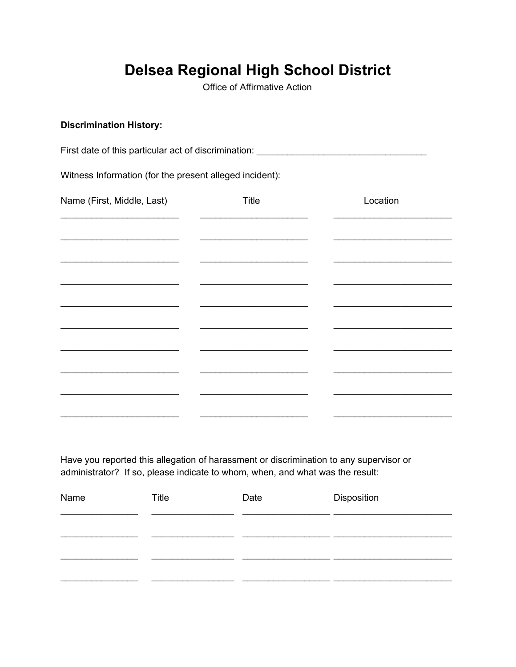Office of Affirmative Action

#### **Discrimination History:**

First date of this particular act of discrimination: \_\_\_\_\_\_\_\_\_\_\_\_\_\_\_\_\_\_\_\_\_\_\_\_\_\_\_

Witness Information (for the present alleged incident):

| Name (First, Middle, Last) | <b>Title</b> | Location |
|----------------------------|--------------|----------|
|                            |              |          |
|                            |              |          |
|                            |              |          |
|                            |              |          |
|                            |              |          |
|                            |              |          |
|                            |              |          |
|                            |              |          |
|                            |              |          |

Have you reported this allegation of harassment or discrimination to any supervisor or administrator? If so, please indicate to whom, when, and what was the result:

| Name | Title | Date | Disposition |  |  |
|------|-------|------|-------------|--|--|
|      |       |      |             |  |  |
|      |       |      |             |  |  |
|      |       |      |             |  |  |
|      |       |      |             |  |  |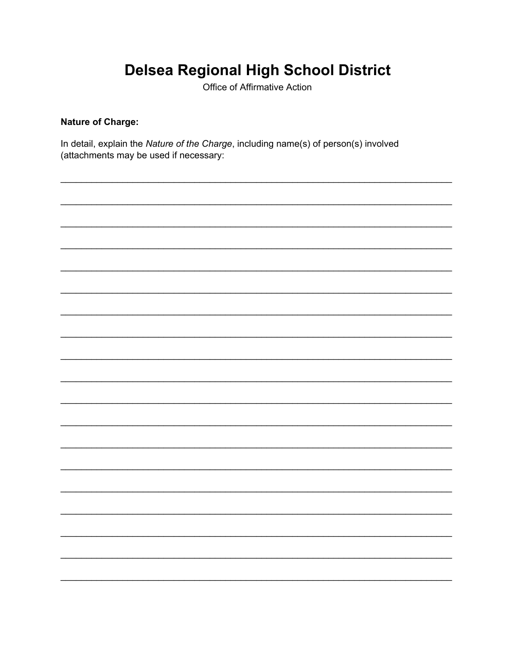Office of Affirmative Action

### **Nature of Charge:**

In detail, explain the Nature of the Charge, including name(s) of person(s) involved (attachments may be used if necessary:

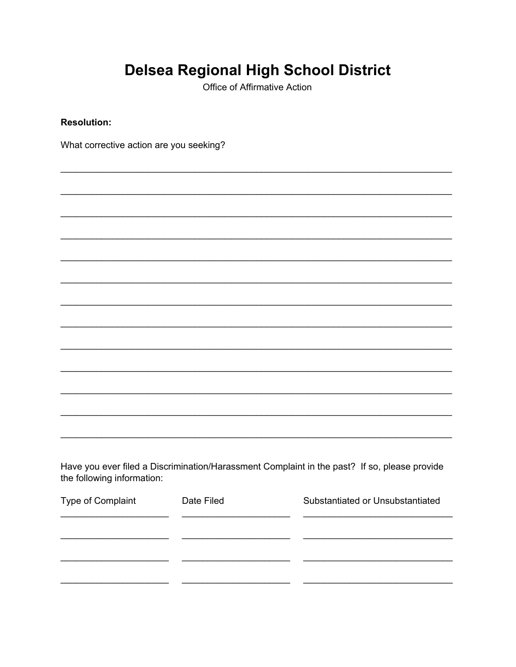Office of Affirmative Action

**Resolution:** 

What corrective action are you seeking?

Have you ever filed a Discrimination/Harassment Complaint in the past? If so, please provide the following information:

| Type of Complaint | Date Filed | Substantiated or Unsubstantiated |
|-------------------|------------|----------------------------------|
|                   |            |                                  |
|                   |            |                                  |
|                   |            |                                  |